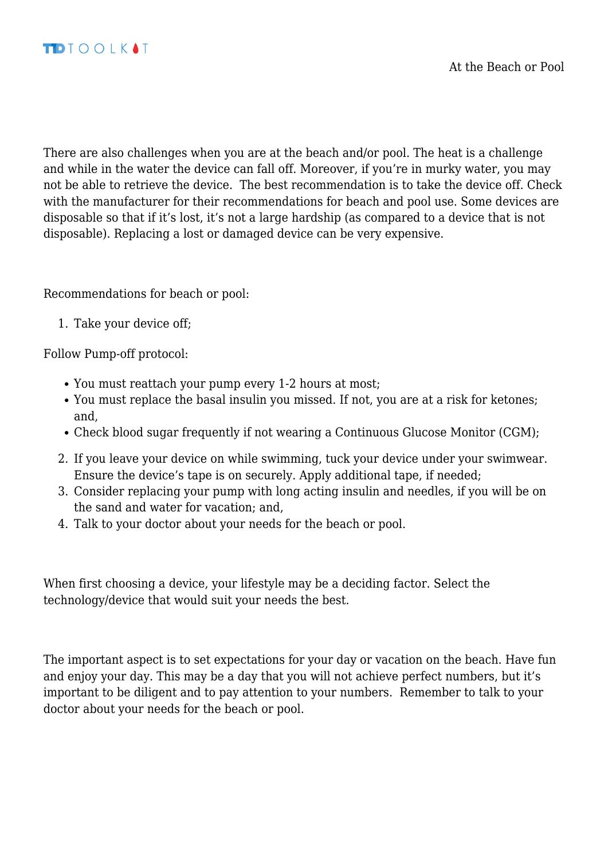There are also challenges when you are at the beach and/or pool. The heat is a challenge and while in the water the device can fall off. Moreover, if you're in murky water, you may not be able to retrieve the device. The best recommendation is to take the device off. Check with the manufacturer for their recommendations for beach and pool use. Some devices are disposable so that if it's lost, it's not a large hardship (as compared to a device that is not disposable). Replacing a lost or damaged device can be very expensive.

Recommendations for beach or pool:

1. Take your device off;

Follow Pump-off protocol:

- You must reattach your pump every 1-2 hours at most;
- You must replace the basal insulin you missed. If not, you are at a risk for ketones; and,
- Check blood sugar frequently if not wearing a Continuous Glucose Monitor (CGM);
- 2. If you leave your device on while swimming, tuck your device under your swimwear. Ensure the device's tape is on securely. Apply additional tape, if needed;
- 3. Consider replacing your pump with long acting insulin and needles, if you will be on the sand and water for vacation; and,
- 4. Talk to your doctor about your needs for the beach or pool.

When first choosing a device, your lifestyle may be a deciding factor. Select the technology/device that would suit your needs the best.

The important aspect is to set expectations for your day or vacation on the beach. Have fun and enjoy your day. This may be a day that you will not achieve perfect numbers, but it's important to be diligent and to pay attention to your numbers. Remember to talk to your doctor about your needs for the beach or pool.